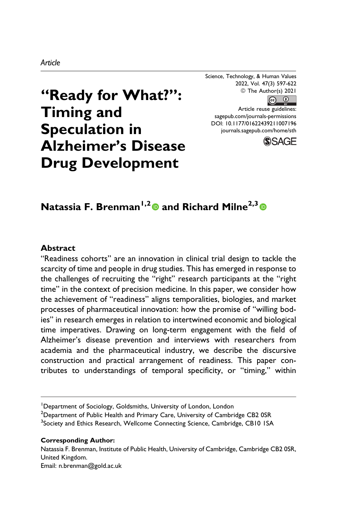Science, Technology, & Human Values 2022, Vol. 47(3) 597-622 © The Author(s) 2021  $\boxed{6}$   $\boxed{0}$ 

# **"Ready for What?": Timing and Speculation in Alzheimer's Disease Drug Development**

Article reuse guidelines: [sagepub.com/journals-permissions](https://sagepub.com/journals-permissions) [DOI: 10.1177/01622439211007196](https://doi.org/10.1177/01622439211007196) [journals.sagepub.com/home/sth](http://journals.sagepub.com/home/sth)



# **Natassia F. Brenman1,2 and Richard Milne2,3**

### **Abstract**

"Readiness cohorts" are an innovation in clinical trial design to tackle the scarcity of time and people in drug studies. This has emerged in response to the challenges of recruiting the "right" research participants at the "right time" in the context of precision medicine. In this paper, we consider how the achievement of "readiness" aligns temporalities, biologies, and market processes of pharmaceutical innovation: how the promise of "willing bodies" in research emerges in relation to intertwined economic and biological time imperatives. Drawing on long-term engagement with the field of Alzheimer's disease prevention and interviews with researchers from academia and the pharmaceutical industry, we describe the discursive construction and practical arrangement of readiness. This paper contributes to understandings of temporal specificity, or "timing," within

#### **Corresponding Author:**

Natassia F. Brenman, Institute of Public Health, University of Cambridge, Cambridge CB2 0SR, United Kingdom.

Email: [n.brenman@gold.ac.uk](mailto:n.brenman@gold.ac.uk)

<sup>&</sup>lt;sup>1</sup>Department of Sociology, Goldsmiths, University of London, London

<sup>&</sup>lt;sup>2</sup>Department of Public Health and Primary Care, University of Cambridge CB2 0SR <sup>3</sup>Society and Ethics Research, Wellcome Connecting Science, Cambridge, CB10 ISA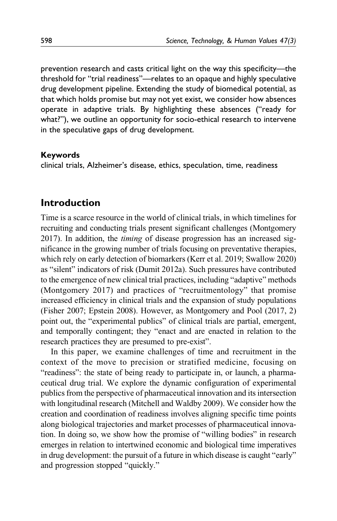prevention research and casts critical light on the way this specificity—the threshold for "trial readiness"—relates to an opaque and highly speculative drug development pipeline. Extending the study of biomedical potential, as that which holds promise but may not yet exist, we consider how absences operate in adaptive trials. By highlighting these absences ("ready for what?"), we outline an opportunity for socio-ethical research to intervene in the speculative gaps of drug development.

### **Keywords**

clinical trials, Alzheimer's disease, ethics, speculation, time, readiness

### **Introduction**

Time is a scarce resource in the world of clinical trials, in which timelines for recruiting and conducting trials present significant challenges [\(Montgomery](#page-24-0) [2017](#page-24-0)). In addition, the timing of disease progression has an increased significance in the growing number of trials focusing on preventative therapies, which rely on early detection of biomarkers [\(Kerr et al. 2019;](#page-23-0) [Swallow 2020\)](#page-25-0) as "silent" indicators of risk ([Dumit 2012a](#page-22-0)). Such pressures have contributed to the emergence of new clinical trial practices, including "adaptive" methods [\(Montgomery 2017\)](#page-24-0) and practices of "recruitmentology" that promise increased efficiency in clinical trials and the expansion of study populations [\(Fisher 2007](#page-23-0); [Epstein 2008](#page-23-0)). However, as [Montgomery and Pool \(2017](#page-24-0), 2) point out, the "experimental publics" of clinical trials are partial, emergent, and temporally contingent; they "enact and are enacted in relation to the research practices they are presumed to pre-exist".

In this paper, we examine challenges of time and recruitment in the context of the move to precision or stratified medicine, focusing on "readiness": the state of being ready to participate in, or launch, a pharmaceutical drug trial. We explore the dynamic configuration of experimental publics from the perspective of pharmaceutical innovation and its intersection with longitudinal research [\(Mitchell and Waldby 2009\)](#page-24-0). We consider how the creation and coordination of readiness involves aligning specific time points along biological trajectories and market processes of pharmaceutical innovation. In doing so, we show how the promise of "willing bodies" in research emerges in relation to intertwined economic and biological time imperatives in drug development: the pursuit of a future in which disease is caught "early" and progression stopped "quickly."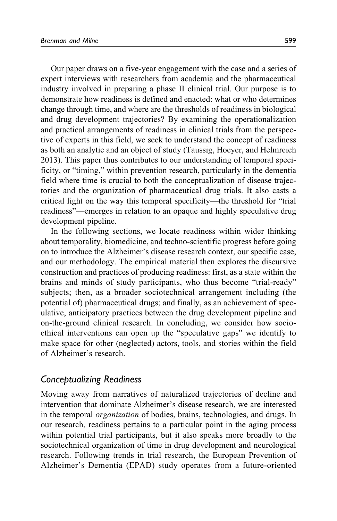Our paper draws on a five-year engagement with the case and a series of expert interviews with researchers from academia and the pharmaceutical industry involved in preparing a phase II clinical trial. Our purpose is to demonstrate how readiness is defined and enacted: what or who determines change through time, and where are the thresholds of readiness in biological and drug development trajectories? By examining the operationalization and practical arrangements of readiness in clinical trials from the perspective of experts in this field, we seek to understand the concept of readiness as both an analytic and an object of study ([Taussig, Hoeyer, and Helmreich](#page-25-0) [2013\)](#page-25-0). This paper thus contributes to our understanding of temporal specificity, or "timing," within prevention research, particularly in the dementia field where time is crucial to both the conceptualization of disease trajectories and the organization of pharmaceutical drug trials. It also casts a critical light on the way this temporal specificity—the threshold for "trial readiness"—emerges in relation to an opaque and highly speculative drug development pipeline.

In the following sections, we locate readiness within wider thinking about temporality, biomedicine, and techno-scientific progress before going on to introduce the Alzheimer's disease research context, our specific case, and our methodology. The empirical material then explores the discursive construction and practices of producing readiness: first, as a state within the brains and minds of study participants, who thus become "trial-ready" subjects; then, as a broader sociotechnical arrangement including (the potential of) pharmaceutical drugs; and finally, as an achievement of speculative, anticipatory practices between the drug development pipeline and on-the-ground clinical research. In concluding, we consider how socioethical interventions can open up the "speculative gaps" we identify to make space for other (neglected) actors, tools, and stories within the field of Alzheimer's research.

### *Conceptualizing Readiness*

Moving away from narratives of naturalized trajectories of decline and intervention that dominate Alzheimer's disease research, we are interested in the temporal organization of bodies, brains, technologies, and drugs. In our research, readiness pertains to a particular point in the aging process within potential trial participants, but it also speaks more broadly to the sociotechnical organization of time in drug development and neurological research. Following trends in trial research, the European Prevention of Alzheimer's Dementia (EPAD) study operates from a future-oriented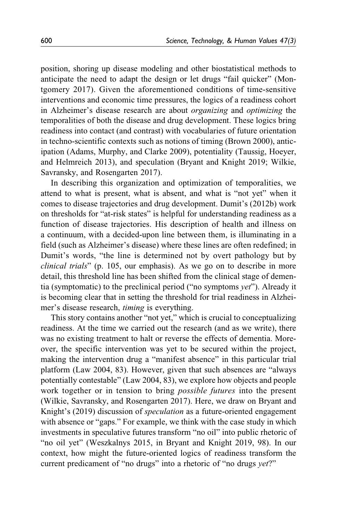position, shoring up disease modeling and other biostatistical methods to anticipate the need to adapt the design or let drugs "fail quicker" [\(Mon](#page-24-0)[tgomery 2017](#page-24-0)). Given the aforementioned conditions of time-sensitive interventions and economic time pressures, the logics of a readiness cohort in Alzheimer's disease research are about organizing and optimizing the temporalities of both the disease and drug development. These logics bring readiness into contact (and contrast) with vocabularies of future orientation in techno-scientific contexts such as notions of timing ([Brown 2000](#page-22-0)), anticipation ([Adams, Murphy, and Clarke 2009](#page-21-0)), potentiality ([Taussig, Hoeyer,](#page-25-0) [and Helmreich 2013\)](#page-25-0), and speculation ([Bryant and Knight 2019;](#page-22-0) [Wilkie,](#page-25-0) [Savransky, and Rosengarten 2017](#page-25-0)).

In describing this organization and optimization of temporalities, we attend to what is present, what is absent, and what is "not yet" when it comes to disease trajectories and drug development. [Dumit's \(2012b\)](#page-23-0) work on thresholds for "at-risk states" is helpful for understanding readiness as a function of disease trajectories. His description of health and illness on a continuum, with a decided-upon line between them, is illuminating in a field (such as Alzheimer's disease) where these lines are often redefined; in Dumit's words, "the line is determined not by overt pathology but by clinical trials" (p. 105, our emphasis). As we go on to describe in more detail, this threshold line has been shifted from the clinical stage of dementia (symptomatic) to the preclinical period ("no symptoms yet"). Already it is becoming clear that in setting the threshold for trial readiness in Alzheimer's disease research, timing is everything.

This story contains another "not yet," which is crucial to conceptualizing readiness. At the time we carried out the research (and as we write), there was no existing treatment to halt or reverse the effects of dementia. Moreover, the specific intervention was yet to be secured within the project, making the intervention drug a "manifest absence" in this particular trial platform ([Law 2004,](#page-24-0) 83). However, given that such absences are "always potentially contestable" ([Law 2004](#page-24-0), 83), we explore how objects and people work together or in tension to bring possible futures into the present [\(Wilkie, Savransky, and Rosengarten 2017](#page-25-0)). Here, we draw on [Bryant and](#page-22-0) [Knight's \(2019\)](#page-22-0) discussion of speculation as a future-oriented engagement with absence or "gaps." For example, we think with the case study in which investments in speculative futures transform "no oil" into public rhetoric of "no oil yet" ([Weszkalnys 2015,](#page-25-0) in [Bryant and Knight 2019](#page-22-0), 98). In our context, how might the future-oriented logics of readiness transform the current predicament of "no drugs" into a rhetoric of "no drugs yet?"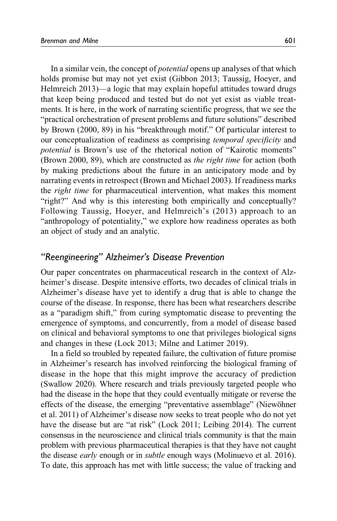In a similar vein, the concept of *potential* opens up analyses of that which holds promise but may not yet exist [\(Gibbon 2013;](#page-23-0) [Taussig, Hoeyer, and](#page-25-0) [Helmreich 2013\)](#page-25-0)—a logic that may explain hopeful attitudes toward drugs that keep being produced and tested but do not yet exist as viable treatments. It is here, in the work of narrating scientific progress, that we see the "practical orchestration of present problems and future solutions" described by [Brown \(2000](#page-22-0), 89) in his "breakthrough motif." Of particular interest to our conceptualization of readiness as comprising temporal specificity and potential is Brown's use of the rhetorical notion of "Kairotic moments" [\(Brown 2000](#page-22-0), 89), which are constructed as the right time for action (both by making predictions about the future in an anticipatory mode and by narrating events in retrospect ([Brown and Michael 2003](#page-22-0)). If readiness marks the right time for pharmaceutical intervention, what makes this moment "right?" And why is this interesting both empirically and conceptually? Following Taussig[, Hoeyer, and Helmreich's \(2013\)](#page-25-0) approach to an "anthropology of potentiality," we explore how readiness operates as both an object of study and an analytic.

### *"Reengineering" Alzheimer's Disease Prevention*

Our paper concentrates on pharmaceutical research in the context of Alzheimer's disease. Despite intensive efforts, two decades of clinical trials in Alzheimer's disease have yet to identify a drug that is able to change the course of the disease. In response, there has been what researchers describe as a "paradigm shift," from curing symptomatic disease to preventing the emergence of symptoms, and concurrently, from a model of disease based on clinical and behavioral symptoms to one that privileges biological signs and changes in these [\(Lock 2013](#page-24-0); [Milne and Latimer 2019](#page-24-0)).

In a field so troubled by repeated failure, the cultivation of future promise in Alzheimer's research has involved reinforcing the biological framing of disease in the hope that this might improve the accuracy of prediction [\(Swallow 2020](#page-25-0)). Where research and trials previously targeted people who had the disease in the hope that they could eventually mitigate or reverse the effects of the disease, the emerging "preventative assemblage" (Niewöhner [et al. 2011](#page-24-0)) of Alzheimer's disease now seeks to treat people who do not yet have the disease but are "at risk" [\(Lock 2011; Leibing 2014](#page-24-0)). The current consensus in the neuroscience and clinical trials community is that the main problem with previous pharmaceutical therapies is that they have not caught the disease *early* enough or in *subtle* enough ways ([Molinuevo et al. 2016](#page-24-0)). To date, this approach has met with little success; the value of tracking and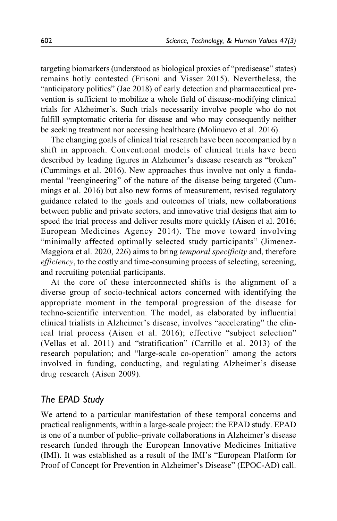targeting biomarkers (understood as biological proxies of "predisease" states) remains hotly contested ([Frisoni and Visser 2015\)](#page-23-0). Nevertheless, the "anticipatory politics" ([Jae 2018](#page-23-0)) of early detection and pharmaceutical prevention is sufficient to mobilize a whole field of disease-modifying clinical trials for Alzheimer's. Such trials necessarily involve people who do not fulfill symptomatic criteria for disease and who may consequently neither be seeking treatment nor accessing healthcare ([Molinuevo et al. 2016](#page-24-0)).

The changing goals of clinical trial research have been accompanied by a shift in approach. Conventional models of clinical trials have been described by leading figures in Alzheimer's disease research as "broken" [\(Cummings et al. 2016\)](#page-22-0). New approaches thus involve not only a fundamental "reengineering" of the nature of the disease being targeted [\(Cum](#page-22-0)[mings et al. 2016](#page-22-0)) but also new forms of measurement, revised regulatory guidance related to the goals and outcomes of trials, new collaborations between public and private sectors, and innovative trial designs that aim to speed the trial process and deliver results more quickly ([Aisen et al. 2016](#page-21-0); [European Medicines Agency 2014](#page-23-0)). The move toward involving "minimally affected optimally selected study participants" [\(Jimenez-](#page-23-0)[Maggiora et al. 2020,](#page-23-0) 226) aims to bring temporal specificity and, therefore efficiency, to the costly and time-consuming process of selecting, screening, and recruiting potential participants.

At the core of these interconnected shifts is the alignment of a diverse group of socio-technical actors concerned with identifying the appropriate moment in the temporal progression of the disease for techno-scientific intervention. The model, as elaborated by influential clinical trialists in Alzheimer's disease, involves "accelerating" the clinical trial process ([Aisen et al. 2016](#page-21-0)); effective "subject selection" [\(Vellas et al. 2011\)](#page-25-0) and "stratification" ([Carrillo et al. 2013\)](#page-22-0) of the research population; and "large-scale co-operation" among the actors involved in funding, conducting, and regulating Alzheimer's disease drug research ([Aisen 2009\)](#page-21-0).

# *The EPAD Study*

We attend to a particular manifestation of these temporal concerns and practical realignments, within a large-scale project: the EPAD study. EPAD is one of a number of public–private collaborations in Alzheimer's disease research funded through the European Innovative Medicines Initiative (IMI). It was established as a result of the IMI's "European Platform for Proof of Concept for Prevention in Alzheimer's Disease" (EPOC-AD) call.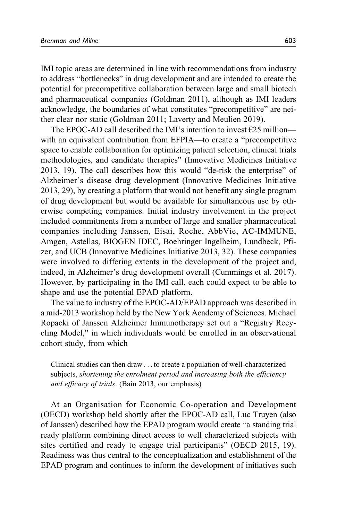IMI topic areas are determined in line with recommendations from industry to address "bottlenecks" in drug development and are intended to create the potential for precompetitive collaboration between large and small biotech and pharmaceutical companies [\(Goldman 2011\)](#page-23-0), although as IMI leaders acknowledge, the boundaries of what constitutes "precompetitive" are neither clear nor static ([Goldman 2011;](#page-23-0) [Laverty and Meulien 2019](#page-24-0)).

The EPOC-AD call described the IMI's intention to invest  $E25$  million with an equivalent contribution from EFPIA—to create a "precompetitive space to enable collaboration for optimizing patient selection, clinical trials methodologies, and candidate therapies" [\(Innovative Medicines Initiative](#page-23-0) [2013,](#page-23-0) 19). The call describes how this would "de-risk the enterprise" of Alzheimer's disease drug development ([Innovative Medicines Initiative](#page-23-0) [2013,](#page-23-0) 29), by creating a platform that would not benefit any single program of drug development but would be available for simultaneous use by otherwise competing companies. Initial industry involvement in the project included commitments from a number of large and smaller pharmaceutical companies including Janssen, Eisai, Roche, AbbVie, AC-IMMUNE, Amgen, Astellas, BIOGEN IDEC, Boehringer Ingelheim, Lundbeck, Pfizer, and UCB [\(Innovative Medicines Initiative 2013,](#page-23-0) 32). These companies were involved to differing extents in the development of the project and, indeed, in Alzheimer's drug development overall ([Cummings et al. 2017](#page-22-0)). However, by participating in the IMI call, each could expect to be able to shape and use the potential EPAD platform.

The value to industry of the EPOC-AD/EPAD approach was described in a mid-2013 workshop held by the New York Academy of Sciences. Michael Ropacki of Janssen Alzheimer Immunotherapy set out a "Registry Recycling Model," in which individuals would be enrolled in an observational cohort study, from which

Clinical studies can then draw ... to create a population of well-characterized subjects, shortening the enrolment period and increasing both the efficiency and efficacy of trials. [\(Bain 2013,](#page-21-0) our emphasis)

At an Organisation for Economic Co-operation and Development (OECD) workshop held shortly after the EPOC-AD call, Luc Truyen (also of Janssen) described how the EPAD program would create "a standing trial ready platform combining direct access to well characterized subjects with sites certified and ready to engage trial participants" ([OECD 2015,](#page-25-0) 19). Readiness was thus central to the conceptualization and establishment of the EPAD program and continues to inform the development of initiatives such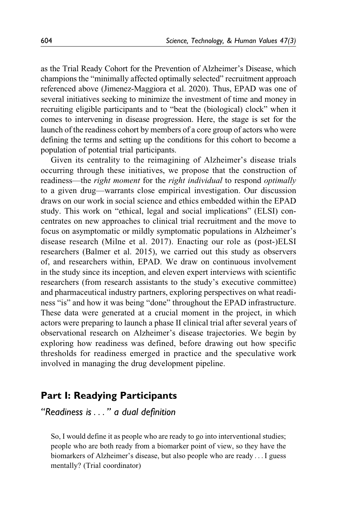as the Trial Ready Cohort for the Prevention of Alzheimer's Disease, which champions the "minimally affected optimally selected" recruitment approach referenced above [\(Jimenez-Maggiora et al. 2020](#page-23-0)). Thus, EPAD was one of several initiatives seeking to minimize the investment of time and money in recruiting eligible participants and to "beat the (biological) clock" when it comes to intervening in disease progression. Here, the stage is set for the launch of the readiness cohort by members of a core group of actors who were defining the terms and setting up the conditions for this cohort to become a population of potential trial participants.

Given its centrality to the reimagining of Alzheimer's disease trials occurring through these initiatives, we propose that the construction of readiness—the right moment for the right individual to respond optimally to a given drug—warrants close empirical investigation. Our discussion draws on our work in social science and ethics embedded within the EPAD study. This work on "ethical, legal and social implications" (ELSI) concentrates on new approaches to clinical trial recruitment and the move to focus on asymptomatic or mildly symptomatic populations in Alzheimer's disease research [\(Milne et al. 2017](#page-24-0)). Enacting our role as (post-)ELSI researchers [\(Balmer et al. 2015](#page-21-0)), we carried out this study as observers of, and researchers within, EPAD. We draw on continuous involvement in the study since its inception, and eleven expert interviews with scientific researchers (from research assistants to the study's executive committee) and pharmaceutical industry partners, exploring perspectives on what readiness "is" and how it was being "done" throughout the EPAD infrastructure. These data were generated at a crucial moment in the project, in which actors were preparing to launch a phase II clinical trial after several years of observational research on Alzheimer's disease trajectories. We begin by exploring how readiness was defined, before drawing out how specific thresholds for readiness emerged in practice and the speculative work involved in managing the drug development pipeline.

# **Part I: Readying Participants**

*"Readiness is*... *" a dual definition*

So, I would define it as people who are ready to go into interventional studies; people who are both ready from a biomarker point of view, so they have the biomarkers of Alzheimer's disease, but also people who are ready ...I guess mentally? (Trial coordinator)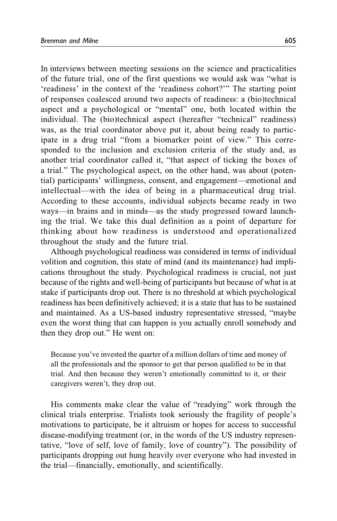In interviews between meeting sessions on the science and practicalities of the future trial, one of the first questions we would ask was "what is 'readiness' in the context of the 'readiness cohort?'" The starting point of responses coalesced around two aspects of readiness: a (bio)technical aspect and a psychological or "mental" one, both located within the individual. The (bio)technical aspect (hereafter "technical" readiness) was, as the trial coordinator above put it, about being ready to participate in a drug trial "from a biomarker point of view." This corresponded to the inclusion and exclusion criteria of the study and, as another trial coordinator called it, "that aspect of ticking the boxes of a trial." The psychological aspect, on the other hand, was about (potential) participants' willingness, consent, and engagement—emotional and intellectual—with the idea of being in a pharmaceutical drug trial. According to these accounts, individual subjects became ready in two ways—in brains and in minds—as the study progressed toward launching the trial. We take this dual definition as a point of departure for thinking about how readiness is understood and operationalized throughout the study and the future trial.

Although psychological readiness was considered in terms of individual volition and cognition, this state of mind (and its maintenance) had implications throughout the study. Psychological readiness is crucial, not just because of the rights and well-being of participants but because of what is at stake if participants drop out. There is no threshold at which psychological readiness has been definitively achieved; it is a state that has to be sustained and maintained. As a US-based industry representative stressed, "maybe even the worst thing that can happen is you actually enroll somebody and then they drop out." He went on:

Because you've invested the quarter of a million dollars of time and money of all the professionals and the sponsor to get that person qualified to be in that trial. And then because they weren't emotionally committed to it, or their caregivers weren't, they drop out.

His comments make clear the value of "readying" work through the clinical trials enterprise. Trialists took seriously the fragility of people's motivations to participate, be it altruism or hopes for access to successful disease-modifying treatment (or, in the words of the US industry representative, "love of self, love of family, love of country"). The possibility of participants dropping out hung heavily over everyone who had invested in the trial—financially, emotionally, and scientifically.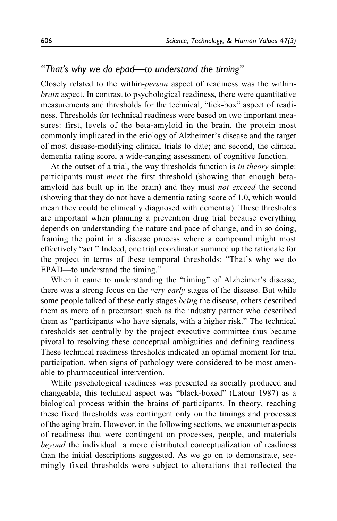### *"That's why we do epad—to understand the timing"*

Closely related to the within-person aspect of readiness was the withinbrain aspect. In contrast to psychological readiness, there were quantitative measurements and thresholds for the technical, "tick-box" aspect of readiness. Thresholds for technical readiness were based on two important measures: first, levels of the beta-amyloid in the brain, the protein most commonly implicated in the etiology of Alzheimer's disease and the target of most disease-modifying clinical trials to date; and second, the clinical dementia rating score, a wide-ranging assessment of cognitive function.

At the outset of a trial, the way thresholds function is in theory simple: participants must meet the first threshold (showing that enough betaamyloid has built up in the brain) and they must not exceed the second (showing that they do not have a dementia rating score of 1.0, which would mean they could be clinically diagnosed with dementia). These thresholds are important when planning a prevention drug trial because everything depends on understanding the nature and pace of change, and in so doing, framing the point in a disease process where a compound might most effectively "act." Indeed, one trial coordinator summed up the rationale for the project in terms of these temporal thresholds: "That's why we do EPAD—to understand the timing."

When it came to understanding the "timing" of Alzheimer's disease, there was a strong focus on the very early stages of the disease. But while some people talked of these early stages being the disease, others described them as more of a precursor: such as the industry partner who described them as "participants who have signals, with a higher risk." The technical thresholds set centrally by the project executive committee thus became pivotal to resolving these conceptual ambiguities and defining readiness. These technical readiness thresholds indicated an optimal moment for trial participation, when signs of pathology were considered to be most amenable to pharmaceutical intervention.

While psychological readiness was presented as socially produced and changeable, this technical aspect was "black-boxed" [\(Latour 1987\)](#page-24-0) as a biological process within the brains of participants. In theory, reaching these fixed thresholds was contingent only on the timings and processes of the aging brain. However, in the following sections, we encounter aspects of readiness that were contingent on processes, people, and materials beyond the individual: a more distributed conceptualization of readiness than the initial descriptions suggested. As we go on to demonstrate, seemingly fixed thresholds were subject to alterations that reflected the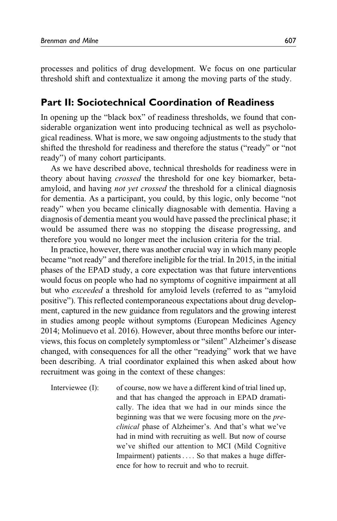processes and politics of drug development. We focus on one particular threshold shift and contextualize it among the moving parts of the study.

### **Part II: Sociotechnical Coordination of Readiness**

In opening up the "black box" of readiness thresholds, we found that considerable organization went into producing technical as well as psychological readiness. What is more, we saw ongoing adjustments to the study that shifted the threshold for readiness and therefore the status ("ready" or "not ready") of many cohort participants.

As we have described above, technical thresholds for readiness were in theory about having crossed the threshold for one key biomarker, betaamyloid, and having *not yet crossed* the threshold for a clinical diagnosis for dementia. As a participant, you could, by this logic, only become "not ready" when you became clinically diagnosable with dementia. Having a diagnosis of dementia meant you would have passed the preclinical phase; it would be assumed there was no stopping the disease progressing, and therefore you would no longer meet the inclusion criteria for the trial.

In practice, however, there was another crucial way in which many people became "not ready" and therefore ineligible for the trial. In 2015, in the initial phases of the EPAD study, a core expectation was that future interventions would focus on people who had no symptoms of cognitive impairment at all but who exceeded a threshold for amyloid levels (referred to as "amyloid positive"). This reflected contemporaneous expectations about drug development, captured in the new guidance from regulators and the growing interest in studies among people without symptoms ([European Medicines Agency](#page-23-0) [2014](#page-23-0); [Molinuevo et al. 2016\)](#page-24-0). However, about three months before our interviews, this focus on completely symptomless or "silent" Alzheimer's disease changed, with consequences for all the other "readying" work that we have been describing. A trial coordinator explained this when asked about how recruitment was going in the context of these changes:

Interviewee (I): of course, now we have a different kind of trial lined up, and that has changed the approach in EPAD dramatically. The idea that we had in our minds since the beginning was that we were focusing more on the preclinical phase of Alzheimer's. And that's what we've had in mind with recruiting as well. But now of course we've shifted our attention to MCI (Mild Cognitive Impairment) patients... . So that makes a huge difference for how to recruit and who to recruit.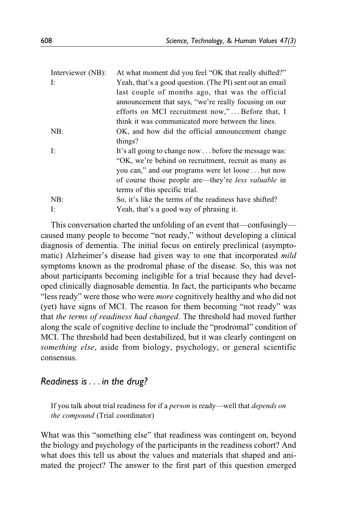| Interviewer (NB): | At what moment did you feel "OK that really shifted?"      |
|-------------------|------------------------------------------------------------|
| Ŀ.                | Yeah, that's a good question. (The PI) sent out an email   |
|                   | last couple of months ago, that was the official           |
|                   | announcement that says, "we're really focusing on our      |
|                   | efforts on MCI recruitment now,"Before that, I             |
|                   | think it was communicated more between the lines.          |
| NB:               | OK, and how did the official announcement change           |
|                   | things?                                                    |
| Ŀ.                | It's all going to change now  before the message was:      |
|                   | "OK, we're behind on recruitment, recruit as many as       |
|                   | you can," and our programs were let loosebut now           |
|                   | of course those people are—they're <i>less</i> valuable in |
|                   | terms of this specific trial.                              |
| NB:               | So, it's like the terms of the readiness have shifted?     |
| I:                | Yeah, that's a good way of phrasing it.                    |

This conversation charted the unfolding of an event that—confusingly caused many people to become "not ready," without developing a clinical diagnosis of dementia. The initial focus on entirely preclinical (asymptomatic) Alzheimer's disease had given way to one that incorporated *mild* symptoms known as the prodromal phase of the disease. So, this was not about participants becoming ineligible for a trial because they had developed clinically diagnosable dementia. In fact, the participants who became "less ready" were those who were *more* cognitively healthy and who did not (yet) have signs of MCI. The reason for them becoming "not ready" was that the terms of readiness had changed. The threshold had moved further along the scale of cognitive decline to include the "prodromal" condition of MCI. The threshold had been destabilized, but it was clearly contingent on something else, aside from biology, psychology, or general scientific consensus.

# *Readiness is*... *in the drug?*

If you talk about trial readiness for if a *person* is ready—well that *depends on* the compound (Trial coordinator)

What was this "something else" that readiness was contingent on, beyond the biology and psychology of the participants in the readiness cohort? And what does this tell us about the values and materials that shaped and animated the project? The answer to the first part of this question emerged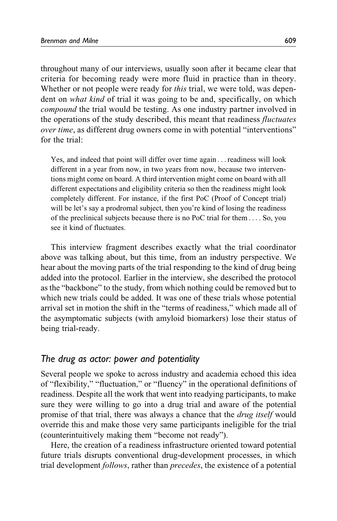throughout many of our interviews, usually soon after it became clear that criteria for becoming ready were more fluid in practice than in theory. Whether or not people were ready for this trial, we were told, was dependent on *what kind* of trial it was going to be and, specifically, on which compound the trial would be testing. As one industry partner involved in the operations of the study described, this meant that readiness fluctuates over time, as different drug owners come in with potential "interventions" for the trial:

Yes, and indeed that point will differ over time again ... readiness will look different in a year from now, in two years from now, because two interventions might come on board. A third intervention might come on board with all different expectations and eligibility criteria so then the readiness might look completely different. For instance, if the first PoC (Proof of Concept trial) will be let's say a prodromal subject, then you're kind of losing the readiness of the preclinical subjects because there is no PoC trial for them ... . So, you see it kind of fluctuates.

This interview fragment describes exactly what the trial coordinator above was talking about, but this time, from an industry perspective. We hear about the moving parts of the trial responding to the kind of drug being added into the protocol. Earlier in the interview, she described the protocol as the "backbone" to the study, from which nothing could be removed but to which new trials could be added. It was one of these trials whose potential arrival set in motion the shift in the "terms of readiness," which made all of the asymptomatic subjects (with amyloid biomarkers) lose their status of being trial-ready.

### *The drug as actor: power and potentiality*

Several people we spoke to across industry and academia echoed this idea of "flexibility," "fluctuation," or "fluency" in the operational definitions of readiness. Despite all the work that went into readying participants, to make sure they were willing to go into a drug trial and aware of the potential promise of that trial, there was always a chance that the *drug itself* would override this and make those very same participants ineligible for the trial (counterintuitively making them "become not ready").

Here, the creation of a readiness infrastructure oriented toward potential future trials disrupts conventional drug-development processes, in which trial development *follows*, rather than *precedes*, the existence of a potential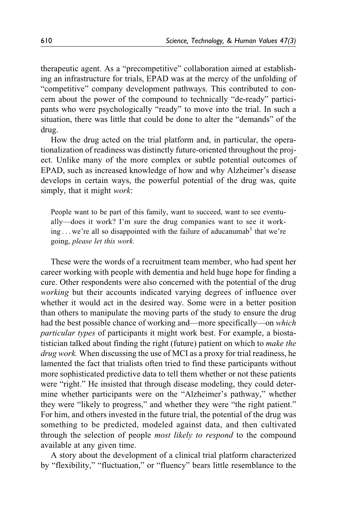therapeutic agent. As a "precompetitive" collaboration aimed at establishing an infrastructure for trials, EPAD was at the mercy of the unfolding of "competitive" company development pathways. This contributed to concern about the power of the compound to technically "de-ready" participants who were psychologically "ready" to move into the trial. In such a situation, there was little that could be done to alter the "demands" of the drug.

How the drug acted on the trial platform and, in particular, the operationalization of readiness was distinctly future-oriented throughout the project. Unlike many of the more complex or subtle potential outcomes of EPAD, such as increased knowledge of how and why Alzheimer's disease develops in certain ways, the powerful potential of the drug was, quite simply, that it might work:

People want to be part of this family, want to succeed, want to see eventually—does it work? I'm sure the drug companies want to see it work-ing ... we're all so disappointed with the failure of aducanumab<sup>[1](#page-21-0)</sup> that we're going, please let this work.

These were the words of a recruitment team member, who had spent her career working with people with dementia and held huge hope for finding a cure. Other respondents were also concerned with the potential of the drug working but their accounts indicated varying degrees of influence over whether it would act in the desired way. Some were in a better position than others to manipulate the moving parts of the study to ensure the drug had the best possible chance of working and—more specifically—on which particular types of participants it might work best. For example, a biostatistician talked about finding the right (future) patient on which to make the drug work. When discussing the use of MCI as a proxy for trial readiness, he lamented the fact that trialists often tried to find these participants without more sophisticated predictive data to tell them whether or not these patients were "right." He insisted that through disease modeling, they could determine whether participants were on the "Alzheimer's pathway," whether they were "likely to progress," and whether they were "the right patient." For him, and others invested in the future trial, the potential of the drug was something to be predicted, modeled against data, and then cultivated through the selection of people most likely to respond to the compound available at any given time.

A story about the development of a clinical trial platform characterized by "flexibility," "fluctuation," or "fluency" bears little resemblance to the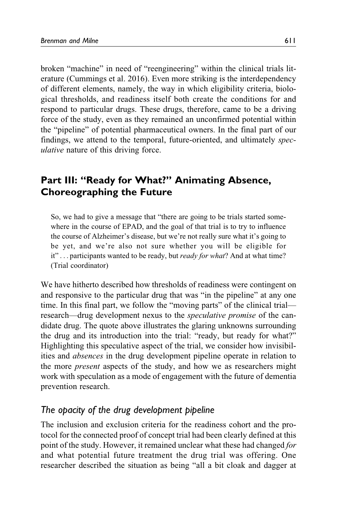broken "machine" in need of "reengineering" within the clinical trials literature ([Cummings et al. 2016](#page-22-0)). Even more striking is the interdependency of different elements, namely, the way in which eligibility criteria, biological thresholds, and readiness itself both create the conditions for and respond to particular drugs. These drugs, therefore, came to be a driving force of the study, even as they remained an unconfirmed potential within the "pipeline" of potential pharmaceutical owners. In the final part of our findings, we attend to the temporal, future-oriented, and ultimately speculative nature of this driving force.

# **Part III: "Ready for What?" Animating Absence, Choreographing the Future**

So, we had to give a message that "there are going to be trials started somewhere in the course of EPAD, and the goal of that trial is to try to influence the course of Alzheimer's disease, but we're not really sure what it's going to be yet, and we're also not sure whether you will be eligible for it"... participants wanted to be ready, but *ready for what*? And at what time? (Trial coordinator)

We have hitherto described how thresholds of readiness were contingent on and responsive to the particular drug that was "in the pipeline" at any one time. In this final part, we follow the "moving parts" of the clinical trial research—drug development nexus to the speculative promise of the candidate drug. The quote above illustrates the glaring unknowns surrounding the drug and its introduction into the trial: "ready, but ready for what?" Highlighting this speculative aspect of the trial, we consider how invisibilities and absences in the drug development pipeline operate in relation to the more present aspects of the study, and how we as researchers might work with speculation as a mode of engagement with the future of dementia prevention research.

# *The opacity of the drug development pipeline*

The inclusion and exclusion criteria for the readiness cohort and the protocol for the connected proof of concept trial had been clearly defined at this point of the study. However, it remained unclear what these had changed for and what potential future treatment the drug trial was offering. One researcher described the situation as being "all a bit cloak and dagger at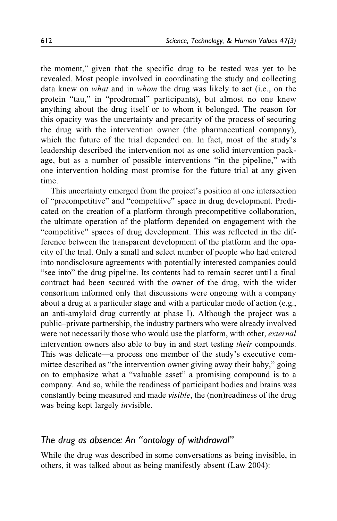the moment," given that the specific drug to be tested was yet to be revealed. Most people involved in coordinating the study and collecting data knew on what and in whom the drug was likely to act (i.e., on the protein "tau," in "prodromal" participants), but almost no one knew anything about the drug itself or to whom it belonged. The reason for this opacity was the uncertainty and precarity of the process of securing the drug with the intervention owner (the pharmaceutical company), which the future of the trial depended on. In fact, most of the study's leadership described the intervention not as one solid intervention package, but as a number of possible interventions "in the pipeline," with one intervention holding most promise for the future trial at any given time.

This uncertainty emerged from the project's position at one intersection of "precompetitive" and "competitive" space in drug development. Predicated on the creation of a platform through precompetitive collaboration, the ultimate operation of the platform depended on engagement with the "competitive" spaces of drug development. This was reflected in the difference between the transparent development of the platform and the opacity of the trial. Only a small and select number of people who had entered into nondisclosure agreements with potentially interested companies could "see into" the drug pipeline. Its contents had to remain secret until a final contract had been secured with the owner of the drug, with the wider consortium informed only that discussions were ongoing with a company about a drug at a particular stage and with a particular mode of action (e.g., an anti-amyloid drug currently at phase I). Although the project was a public–private partnership, the industry partners who were already involved were not necessarily those who would use the platform, with other, external intervention owners also able to buy in and start testing their compounds. This was delicate—a process one member of the study's executive committee described as "the intervention owner giving away their baby," going on to emphasize what a "valuable asset" a promising compound is to a company. And so, while the readiness of participant bodies and brains was constantly being measured and made visible, the (non)readiness of the drug was being kept largely invisible.

### *The drug as absence: An "ontology of withdrawal"*

While the drug was described in some conversations as being invisible, in others, it was talked about as being manifestly absent ([Law 2004\)](#page-24-0):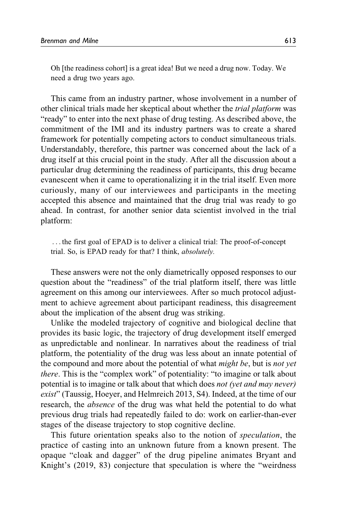Oh [the readiness cohort] is a great idea! But we need a drug now. Today. We need a drug two years ago.

This came from an industry partner, whose involvement in a number of other clinical trials made her skeptical about whether the trial platform was "ready" to enter into the next phase of drug testing. As described above, the commitment of the IMI and its industry partners was to create a shared framework for potentially competing actors to conduct simultaneous trials. Understandably, therefore, this partner was concerned about the lack of a drug itself at this crucial point in the study. After all the discussion about a particular drug determining the readiness of participants, this drug became evanescent when it came to operationalizing it in the trial itself. Even more curiously, many of our interviewees and participants in the meeting accepted this absence and maintained that the drug trial was ready to go ahead. In contrast, for another senior data scientist involved in the trial platform:

... the first goal of EPAD is to deliver a clinical trial: The proof-of-concept trial. So, is EPAD ready for that? I think, absolutely.

These answers were not the only diametrically opposed responses to our question about the "readiness" of the trial platform itself, there was little agreement on this among our interviewees. After so much protocol adjustment to achieve agreement about participant readiness, this disagreement about the implication of the absent drug was striking.

Unlike the modeled trajectory of cognitive and biological decline that provides its basic logic, the trajectory of drug development itself emerged as unpredictable and nonlinear. In narratives about the readiness of trial platform, the potentiality of the drug was less about an innate potential of the compound and more about the potential of what *might be*, but is *not yet* there. This is the "complex work" of potentiality: "to imagine or talk about potential is to imagine or talk about that which does not (yet and may never) exist" [\(Taussig, Hoeyer, and Helmreich 2013](#page-25-0), S4). Indeed, at the time of our research, the absence of the drug was what held the potential to do what previous drug trials had repeatedly failed to do: work on earlier-than-ever stages of the disease trajectory to stop cognitive decline.

This future orientation speaks also to the notion of *speculation*, the practice of casting into an unknown future from a known present. The opaque "cloak and dagger" of the drug pipeline animates Bryant and Knight's [\(2019,](#page-22-0) 83) conjecture that speculation is where the "weirdness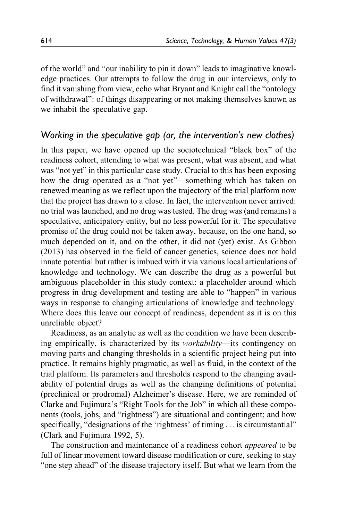of the world" and "our inability to pin it down" leads to imaginative knowledge practices. Our attempts to follow the drug in our interviews, only to find it vanishing from view, echo what Bryant and Knight call the "ontology of withdrawal": of things disappearing or not making themselves known as we inhabit the speculative gap.

### *Working in the speculative gap (or, the intervention's new clothes)*

In this paper, we have opened up the sociotechnical "black box" of the readiness cohort, attending to what was present, what was absent, and what was "not yet" in this particular case study. Crucial to this has been exposing how the drug operated as a "not yet"—something which has taken on renewed meaning as we reflect upon the trajectory of the trial platform now that the project has drawn to a close. In fact, the intervention never arrived: no trial was launched, and no drug was tested. The drug was (and remains) a speculative, anticipatory entity, but no less powerful for it. The speculative promise of the drug could not be taken away, because, on the one hand, so much depended on it, and on the other, it did not (yet) exist. As [Gibbon](#page-23-0) [\(2013\)](#page-23-0) has observed in the field of cancer genetics, science does not hold innate potential but rather is imbued with it via various local articulations of knowledge and technology. We can describe the drug as a powerful but ambiguous placeholder in this study context: a placeholder around which progress in drug development and testing are able to "happen" in various ways in response to changing articulations of knowledge and technology. Where does this leave our concept of readiness, dependent as it is on this unreliable object?

Readiness, as an analytic as well as the condition we have been describing empirically, is characterized by its workability—its contingency on moving parts and changing thresholds in a scientific project being put into practice. It remains highly pragmatic, as well as fluid, in the context of the trial platform. Its parameters and thresholds respond to the changing availability of potential drugs as well as the changing definitions of potential (preclinical or prodromal) Alzheimer's disease. Here, we are reminded of Clarke and Fujimura's "Right Tools for the Job" in which all these components (tools, jobs, and "rightness") are situational and contingent; and how specifically, "designations of the 'rightness' of timing ... is circumstantial" [\(Clark and Fujimura 1992](#page-22-0), 5).

The construction and maintenance of a readiness cohort *appeared* to be full of linear movement toward disease modification or cure, seeking to stay "one step ahead" of the disease trajectory itself. But what we learn from the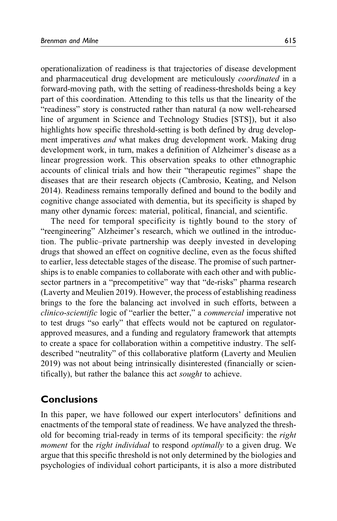operationalization of readiness is that trajectories of disease development and pharmaceutical drug development are meticulously coordinated in a forward-moving path, with the setting of readiness-thresholds being a key part of this coordination. Attending to this tells us that the linearity of the "readiness" story is constructed rather than natural (a now well-rehearsed line of argument in Science and Technology Studies [STS]), but it also highlights how specific threshold-setting is both defined by drug development imperatives and what makes drug development work. Making drug development work, in turn, makes a definition of Alzheimer's disease as a linear progression work. This observation speaks to other ethnographic accounts of clinical trials and how their "therapeutic regimes" shape the diseases that are their research objects ([Cambrosio, Keating, and Nelson](#page-22-0) [2014\)](#page-22-0). Readiness remains temporally defined and bound to the bodily and cognitive change associated with dementia, but its specificity is shaped by many other dynamic forces: material, political, financial, and scientific.

The need for temporal specificity is tightly bound to the story of "reengineering" Alzheimer's research, which we outlined in the introduction. The public–private partnership was deeply invested in developing drugs that showed an effect on cognitive decline, even as the focus shifted to earlier, less detectable stages of the disease. The promise of such partnerships is to enable companies to collaborate with each other and with publicsector partners in a "precompetitive" way that "de-risks" pharma research [\(Laverty and Meulien 2019](#page-24-0)). However, the process of establishing readiness brings to the fore the balancing act involved in such efforts, between a clinico-scientific logic of "earlier the better," a commercial imperative not to test drugs "so early" that effects would not be captured on regulatorapproved measures, and a funding and regulatory framework that attempts to create a space for collaboration within a competitive industry. The selfdescribed "neutrality" of this collaborative platform ([Laverty and Meulien](#page-24-0) [2019\)](#page-24-0) was not about being intrinsically disinterested (financially or scientifically), but rather the balance this act sought to achieve.

# **Conclusions**

In this paper, we have followed our expert interlocutors' definitions and enactments of the temporal state of readiness. We have analyzed the threshold for becoming trial-ready in terms of its temporal specificity: the right moment for the right individual to respond optimally to a given drug. We argue that this specific threshold is not only determined by the biologies and psychologies of individual cohort participants, it is also a more distributed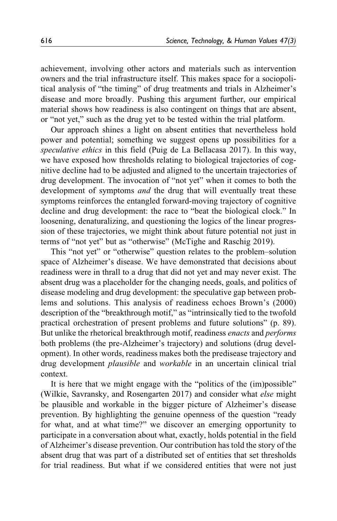achievement, involving other actors and materials such as intervention owners and the trial infrastructure itself. This makes space for a sociopolitical analysis of "the timing" of drug treatments and trials in Alzheimer's disease and more broadly. Pushing this argument further, our empirical material shows how readiness is also contingent on things that are absent, or "not yet," such as the drug yet to be tested within the trial platform.

Our approach shines a light on absent entities that nevertheless hold power and potential; something we suggest opens up possibilities for a speculative ethics in this field (Puig de La [Bellacasa 2017\)](#page-25-0). In this way, we have exposed how thresholds relating to biological trajectories of cognitive decline had to be adjusted and aligned to the uncertain trajectories of drug development. The invocation of "not yet" when it comes to both the development of symptoms *and* the drug that will eventually treat these symptoms reinforces the entangled forward-moving trajectory of cognitive decline and drug development: the race to "beat the biological clock." In loosening, denaturalizing, and questioning the logics of the linear progression of these trajectories, we might think about future potential not just in terms of "not yet" but as "otherwise" [\(McTighe and Raschig 2019](#page-24-0)).

This "not yet" or "otherwise" question relates to the problem–solution space of Alzheimer's disease. We have demonstrated that decisions about readiness were in thrall to a drug that did not yet and may never exist. The absent drug was a placeholder for the changing needs, goals, and politics of disease modeling and drug development: the speculative gap between problems and solutions. This analysis of readiness echoes [Brown's \(2000\)](#page-22-0) description of the "breakthrough motif," as "intrinsically tied to the twofold practical orchestration of present problems and future solutions" (p. 89). But unlike the rhetorical breakthrough motif, readiness enacts and performs both problems (the pre-Alzheimer's trajectory) and solutions (drug development). In other words, readiness makes both the predisease trajectory and drug development plausible and workable in an uncertain clinical trial context.

It is here that we might engage with the "politics of the (im)possible" [\(Wilkie, Savransky, and Rosengarten 2017](#page-25-0)) and consider what else might be plausible and workable in the bigger picture of Alzheimer's disease prevention. By highlighting the genuine openness of the question "ready for what, and at what time?" we discover an emerging opportunity to participate in a conversation about what, exactly, holds potential in the field of Alzheimer's disease prevention. Our contribution has told the story of the absent drug that was part of a distributed set of entities that set thresholds for trial readiness. But what if we considered entities that were not just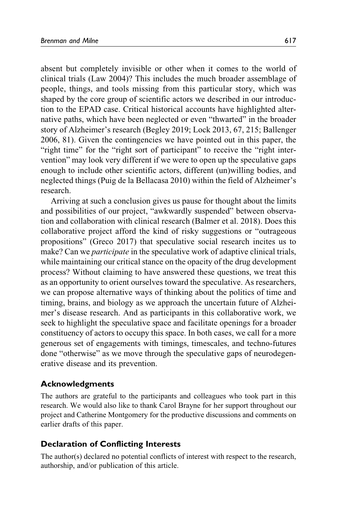absent but completely invisible or other when it comes to the world of clinical trials [\(Law 2004\)](#page-24-0)? This includes the much broader assemblage of people, things, and tools missing from this particular story, which was shaped by the core group of scientific actors we described in our introduction to the EPAD case. Critical historical accounts have highlighted alternative paths, which have been neglected or even "thwarted" in the broader story of Alzheimer's research [\(Begley 2019;](#page-22-0) [Lock 2013,](#page-24-0) 67, 215; [Ballenger](#page-21-0) [2006,](#page-21-0) 81). Given the contingencies we have pointed out in this paper, the "right time" for the "right sort of participant" to receive the "right intervention" may look very different if we were to open up the speculative gaps enough to include other scientific actors, different (un)willing bodies, and neglected things (Puig de la [Bellacasa 2010](#page-25-0)) within the field of Alzheimer's research.

Arriving at such a conclusion gives us pause for thought about the limits and possibilities of our project, "awkwardly suspended" between observation and collaboration with clinical research [\(Balmer et al. 2018\)](#page-22-0). Does this collaborative project afford the kind of risky suggestions or "outrageous propositions" ([Greco 2017](#page-23-0)) that speculative social research incites us to make? Can we *participate* in the speculative work of adaptive clinical trials, while maintaining our critical stance on the opacity of the drug development process? Without claiming to have answered these questions, we treat this as an opportunity to orient ourselves toward the speculative. As researchers, we can propose alternative ways of thinking about the politics of time and timing, brains, and biology as we approach the uncertain future of Alzheimer's disease research. And as participants in this collaborative work, we seek to highlight the speculative space and facilitate openings for a broader constituency of actors to occupy this space. In both cases, we call for a more generous set of engagements with timings, timescales, and techno-futures done "otherwise" as we move through the speculative gaps of neurodegenerative disease and its prevention.

#### **Acknowledgments**

The authors are grateful to the participants and colleagues who took part in this research. We would also like to thank Carol Brayne for her support throughout our project and Catherine Montgomery for the productive discussions and comments on earlier drafts of this paper.

### **Declaration of Conflicting Interests**

The author(s) declared no potential conflicts of interest with respect to the research, authorship, and/or publication of this article.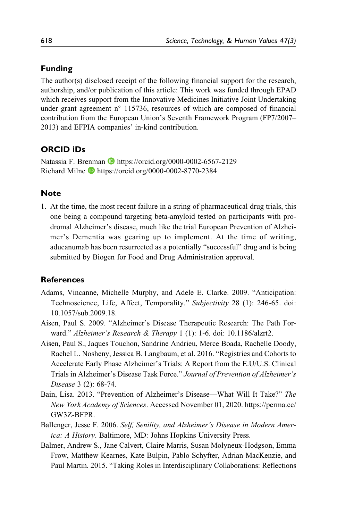### <span id="page-21-0"></span>**Funding**

The author(s) disclosed receipt of the following financial support for the research, authorship, and/or publication of this article: This work was funded through EPAD which receives support from the Innovative Medicines Initiative Joint Undertaking under grant agreement n° 115736, resources of which are composed of financial contribution from the European Union's Seventh Framework Program (FP7/2007– 2013) and EFPIA companies' in-kind contribution.

# **ORCID iDs**

Natassia F. Brenman **I** <https://orcid.org/0000-0002-6567-2129> Richard Milne <https://orcid.org/0000-0002-8770-2384>

### **Note**

1. At the time, the most recent failure in a string of pharmaceutical drug trials, this one being a compound targeting beta-amyloid tested on participants with prodromal Alzheimer's disease, much like the trial European Prevention of Alzheimer's Dementia was gearing up to implement. At the time of writing, aducanumab has been resurrected as a potentially "successful" drug and is being submitted by Biogen for Food and Drug Administration approval.

### **References**

- Adams, Vincanne, Michelle Murphy, and Adele E. Clarke. 2009. "Anticipation: Technoscience, Life, Affect, Temporality." Subjectivity 28 (1): 246-65. doi: 10.1057/sub.2009.18.
- Aisen, Paul S. 2009. "Alzheimer's Disease Therapeutic Research: The Path Forward." Alzheimer's Research & Therapy 1 (1): 1-6. doi: 10.1186/alzrt2.
- Aisen, Paul S., Jaques Touchon, Sandrine Andrieu, Merce Boada, Rachelle Doody, Rachel L. Nosheny, Jessica B. Langbaum, et al. 2016. "Registries and Cohorts to Accelerate Early Phase Alzheimer's Trials: A Report from the E.U/U.S. Clinical Trials in Alzheimer's Disease Task Force." Journal of Prevention of Alzheimer's Disease 3 (2): 68-74.
- Bain, Lisa. 2013. "Prevention of Alzheimer's Disease—What Will It Take?" The New York Academy of Sciences. Accessed November 01, 2020. [https://perma.cc/](https://perma.cc/GW3Z-BFPR) [GW3Z-BFPR.](https://perma.cc/GW3Z-BFPR)
- Ballenger, Jesse F. 2006. Self, Senility, and Alzheimer's Disease in Modern America: A History. Baltimore, MD: Johns Hopkins University Press.
- Balmer, Andrew S., Jane Calvert, Claire Marris, Susan Molyneux-Hodgson, Emma Frow, Matthew Kearnes, Kate Bulpin, Pablo Schyfter, Adrian MacKenzie, and Paul Martin. 2015. "Taking Roles in Interdisciplinary Collaborations: Reflections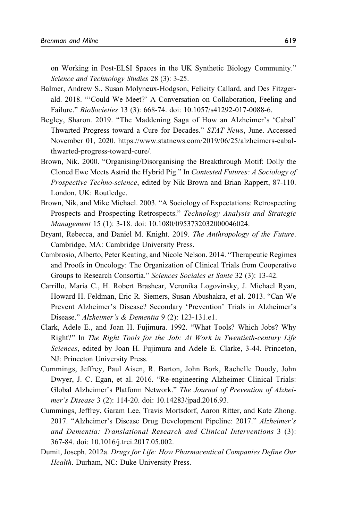<span id="page-22-0"></span>on Working in Post-ELSI Spaces in the UK Synthetic Biology Community." Science and Technology Studies 28 (3): 3-25.

- Balmer, Andrew S., Susan Molyneux-Hodgson, Felicity Callard, and Des Fitzgerald. 2018. "'Could We Meet?' A Conversation on Collaboration, Feeling and Failure." BioSocieties 13 (3): 668-74. doi: 10.1057/s41292-017-0088-6.
- Begley, Sharon. 2019. "The Maddening Saga of How an Alzheimer's 'Cabal' Thwarted Progress toward a Cure for Decades." STAT News, June. Accessed November 01, 2020. [https://www.statnews.com/2019/06/25/alzheimers-cabal](https://www.statnews.com/2019/06/25/alzheimers-cabal-thwarted-progress-toward-cure/)[thwarted-progress-toward-cure/](https://www.statnews.com/2019/06/25/alzheimers-cabal-thwarted-progress-toward-cure/).
- Brown, Nik. 2000. "Organising/Disorganising the Breakthrough Motif: Dolly the Cloned Ewe Meets Astrid the Hybrid Pig." In Contested Futures: A Sociology of Prospective Techno-science, edited by Nik Brown and Brian Rappert, 87-110. London, UK: Routledge.
- Brown, Nik, and Mike Michael. 2003. "A Sociology of Expectations: Retrospecting Prospects and Prospecting Retrospects." Technology Analysis and Strategic Management 15 (1): 3-18. doi: 10.1080/0953732032000046024.
- Bryant, Rebecca, and Daniel M. Knight. 2019. The Anthropology of the Future. Cambridge, MA: Cambridge University Press.
- Cambrosio, Alberto, Peter Keating, and Nicole Nelson. 2014. "Therapeutic Regimes and Proofs in Oncology: The Organization of Clinical Trials from Cooperative Groups to Research Consortia." Sciences Sociales et Sante 32 (3): 13-42.
- Carrillo, Maria C., H. Robert Brashear, Veronika Logovinsky, J. Michael Ryan, Howard H. Feldman, Eric R. Siemers, Susan Abushakra, et al. 2013. "Can We Prevent Alzheimer's Disease? Secondary 'Prevention' Trials in Alzheimer's Disease." Alzheimer's & Dementia 9 (2): 123-131.e1.
- Clark, Adele E., and Joan H. Fujimura. 1992. "What Tools? Which Jobs? Why Right?" In The Right Tools for the Job: At Work in Twentieth-century Life Sciences, edited by Joan H. Fujimura and Adele E. Clarke, 3-44. Princeton, NJ: Princeton University Press.
- Cummings, Jeffrey, Paul Aisen, R. Barton, John Bork, Rachelle Doody, John Dwyer, J. C. Egan, et al. 2016. "Re-engineering Alzheimer Clinical Trials: Global Alzheimer's Platform Network." The Journal of Prevention of Alzheimer's Disease 3 (2): 114-20. doi: 10.14283/jpad.2016.93.
- Cummings, Jeffrey, Garam Lee, Travis Mortsdorf, Aaron Ritter, and Kate Zhong. 2017. "Alzheimer's Disease Drug Development Pipeline: 2017." Alzheimer's and Dementia: Translational Research and Clinical Interventions 3 (3): 367-84. doi: 10.1016/j.trci.2017.05.002.
- Dumit, Joseph. 2012a. Drugs for Life: How Pharmaceutical Companies Define Our Health. Durham, NC: Duke University Press.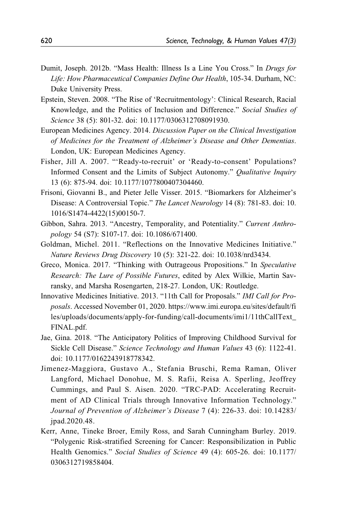- <span id="page-23-0"></span>Dumit, Joseph. 2012b. "Mass Health: Illness Is a Line You Cross." In Drugs for Life: How Pharmaceutical Companies Define Our Health, 105-34. Durham, NC: Duke University Press.
- Epstein, Steven. 2008. "The Rise of 'Recruitmentology': Clinical Research, Racial Knowledge, and the Politics of Inclusion and Difference." Social Studies of Science 38 (5): 801-32. doi: 10.1177/0306312708091930.
- European Medicines Agency. 2014. Discussion Paper on the Clinical Investigation of Medicines for the Treatment of Alzheimer's Disease and Other Dementias. London, UK: European Medicines Agency.
- Fisher, Jill A. 2007. "'Ready-to-recruit' or 'Ready-to-consent' Populations? Informed Consent and the Limits of Subject Autonomy." Qualitative Inquiry 13 (6): 875-94. doi: 10.1177/1077800407304460.
- Frisoni, Giovanni B., and Pieter Jelle Visser. 2015. "Biomarkers for Alzheimer's Disease: A Controversial Topic." The Lancet Neurology 14 (8): 781-83. doi: 10. 1016/S1474-4422(15)00150-7.
- Gibbon, Sahra. 2013. "Ancestry, Temporality, and Potentiality." Current Anthropology 54 (S7): S107-17. doi: 10.1086/671400.
- Goldman, Michel. 2011. "Reflections on the Innovative Medicines Initiative." Nature Reviews Drug Discovery 10 (5): 321-22. doi: 10.1038/nrd3434.
- Greco, Monica. 2017. "Thinking with Outrageous Propositions." In Speculative Research: The Lure of Possible Futures, edited by Alex Wilkie, Martin Savransky, and Marsha Rosengarten, 218-27. London, UK: Routledge.
- Innovative Medicines Initiative. 2013. "11th Call for Proposals." IMI Call for Proposals. Accessed November 01, 2020. [https://www.imi.europa.eu/sites/default/fi](https://www.imi.europa.eu/sites/default/files/uploads/documents/apply-for-funding/call-documents/imi1/11thCallText_FINAL.pdf) [les/uploads/documents/apply-for-funding/call-documents/imi1/11thCallText\\_](https://www.imi.europa.eu/sites/default/files/uploads/documents/apply-for-funding/call-documents/imi1/11thCallText_FINAL.pdf) [FINAL.pdf](https://www.imi.europa.eu/sites/default/files/uploads/documents/apply-for-funding/call-documents/imi1/11thCallText_FINAL.pdf).
- Jae, Gina. 2018. "The Anticipatory Politics of Improving Childhood Survival for Sickle Cell Disease." Science Technology and Human Values 43 (6): 1122-41. doi: 10.1177/0162243918778342.
- Jimenez-Maggiora, Gustavo A., Stefania Bruschi, Rema Raman, Oliver Langford, Michael Donohue, M. S. Rafii, Reisa A. Sperling, Jeoffrey Cummings, and Paul S. Aisen. 2020. "TRC-PAD: Accelerating Recruitment of AD Clinical Trials through Innovative Information Technology." Journal of Prevention of Alzheimer's Disease 7 (4): 226-33. doi: 10.14283/ jpad.2020.48.
- Kerr, Anne, Tineke Broer, Emily Ross, and Sarah Cunningham Burley. 2019. "Polygenic Risk-stratified Screening for Cancer: Responsibilization in Public Health Genomics." Social Studies of Science 49 (4): 605-26. doi: 10.1177/ 0306312719858404.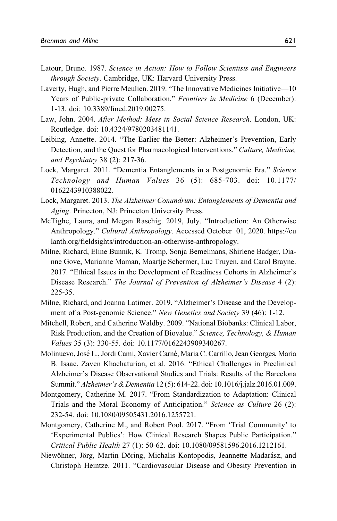- <span id="page-24-0"></span>Latour, Bruno. 1987. Science in Action: How to Follow Scientists and Engineers through Society. Cambridge, UK: Harvard University Press.
- Laverty, Hugh, and Pierre Meulien. 2019. "The Innovative Medicines Initiative—10 Years of Public-private Collaboration." Frontiers in Medicine 6 (December): 1-13. doi: 10.3389/fmed.2019.00275.
- Law, John. 2004. After Method: Mess in Social Science Research. London, UK: Routledge. doi: 10.4324/9780203481141.
- Leibing, Annette. 2014. "The Earlier the Better: Alzheimer's Prevention, Early Detection, and the Quest for Pharmacological Interventions." Culture, Medicine, and Psychiatry 38 (2): 217-36.
- Lock, Margaret. 2011. "Dementia Entanglements in a Postgenomic Era." Science Technology and Human Values 36 (5): 685-703. doi: 10.1177/ 0162243910388022.
- Lock, Margaret. 2013. The Alzheimer Conundrum: Entanglements of Dementia and Aging. Princeton, NJ: Princeton University Press.
- McTighe, Laura, and Megan Raschig. 2019, July. "Introduction: An Otherwise Anthropology." Cultural Anthropology. Accessed October 01, 2020. [https://cu](https://culanth.org/fieldsights/introduction-an-otherwise-anthropology) [lanth.org/fieldsights/introduction-an-otherwise-anthropology.](https://culanth.org/fieldsights/introduction-an-otherwise-anthropology)
- Milne, Richard, Eline Bunnik, K. Tromp, Sonja Bemelmans, Shirlene Badger, Dianne Gove, Marianne Maman, Maartje Schermer, Luc Truyen, and Carol Brayne. 2017. "Ethical Issues in the Development of Readiness Cohorts in Alzheimer's Disease Research." The Journal of Prevention of Alzheimer's Disease 4 (2): 225-35.
- Milne, Richard, and Joanna Latimer. 2019. "Alzheimer's Disease and the Development of a Post-genomic Science." New Genetics and Society 39 (46): 1-12.
- Mitchell, Robert, and Catherine Waldby. 2009. "National Biobanks: Clinical Labor, Risk Production, and the Creation of Biovalue." Science, Technology, & Human Values 35 (3): 330-55. doi: 10.1177/0162243909340267.
- Molinuevo, Jos´e L., Jordi Cami, Xavier Carn´e, Maria C. Carrillo, Jean Georges, Maria B. Isaac, Zaven Khachaturian, et al. 2016. "Ethical Challenges in Preclinical Alzheimer's Disease Observational Studies and Trials: Results of the Barcelona Summit." Alzheimer's & Dementia 12 (5): 614-22. doi: 10.1016/j.jalz.2016.01.009.
- Montgomery, Catherine M. 2017. "From Standardization to Adaptation: Clinical Trials and the Moral Economy of Anticipation." Science as Culture 26 (2): 232-54. doi: 10.1080/09505431.2016.1255721.
- Montgomery, Catherine M., and Robert Pool. 2017. "From 'Trial Community' to 'Experimental Publics': How Clinical Research Shapes Public Participation." Critical Public Health 27 (1): 50-62. doi: 10.1080/09581596.2016.1212161.
- Niewöhner, Jörg, Martin Döring, Michalis Kontopodis, Jeannette Madarász, and Christoph Heintze. 2011. "Cardiovascular Disease and Obesity Prevention in